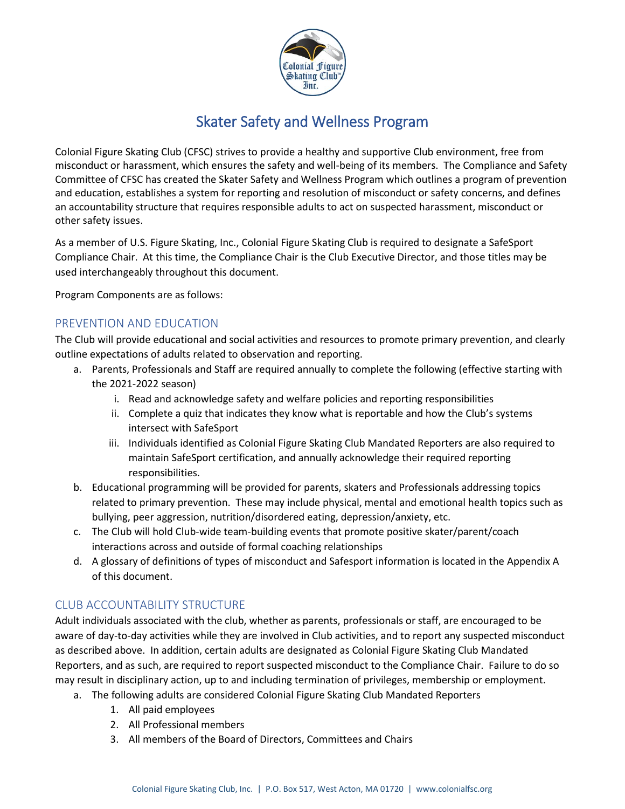

## Skater Safety and Wellness Program

Colonial Figure Skating Club (CFSC) strives to provide a healthy and supportive Club environment, free from misconduct or harassment, which ensures the safety and well-being of its members. The Compliance and Safety Committee of CFSC has created the Skater Safety and Wellness Program which outlines a program of prevention and education, establishes a system for reporting and resolution of misconduct or safety concerns, and defines an accountability structure that requires responsible adults to act on suspected harassment, misconduct or other safety issues.

As a member of U.S. Figure Skating, Inc., Colonial Figure Skating Club is required to designate a SafeSport Compliance Chair. At this time, the Compliance Chair is the Club Executive Director, and those titles may be used interchangeably throughout this document.

Program Components are as follows:

#### PREVENTION AND EDUCATION

The Club will provide educational and social activities and resources to promote primary prevention, and clearly outline expectations of adults related to observation and reporting.

- a. Parents, Professionals and Staff are required annually to complete the following (effective starting with the 2021-2022 season)
	- i. Read and acknowledge safety and welfare policies and reporting responsibilities
	- ii. Complete a quiz that indicates they know what is reportable and how the Club's systems intersect with SafeSport
	- iii. Individuals identified as Colonial Figure Skating Club Mandated Reporters are also required to maintain SafeSport certification, and annually acknowledge their required reporting responsibilities.
- b. Educational programming will be provided for parents, skaters and Professionals addressing topics related to primary prevention. These may include physical, mental and emotional health topics such as bullying, peer aggression, nutrition/disordered eating, depression/anxiety, etc.
- c. The Club will hold Club-wide team-building events that promote positive skater/parent/coach interactions across and outside of formal coaching relationships
- d. A glossary of definitions of types of misconduct and Safesport information is located in the Appendix A of this document.

## CLUB ACCOUNTABILITY STRUCTURE

Adult individuals associated with the club, whether as parents, professionals or staff, are encouraged to be aware of day-to-day activities while they are involved in Club activities, and to report any suspected misconduct as described above. In addition, certain adults are designated as Colonial Figure Skating Club Mandated Reporters, and as such, are required to report suspected misconduct to the Compliance Chair. Failure to do so may result in disciplinary action, up to and including termination of privileges, membership or employment.

- a. The following adults are considered Colonial Figure Skating Club Mandated Reporters
	- 1. All paid employees
	- 2. All Professional members
	- 3. All members of the Board of Directors, Committees and Chairs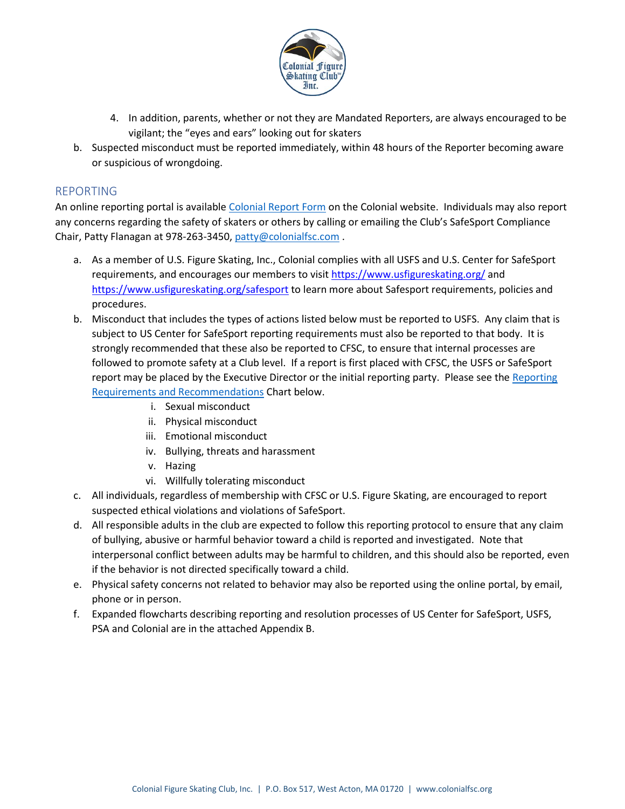

- 4. In addition, parents, whether or not they are Mandated Reporters, are always encouraged to be vigilant; the "eyes and ears" looking out for skaters
- b. Suspected misconduct must be reported immediately, within 48 hours of the Reporter becoming aware or suspicious of wrongdoing.

#### REPORTING

An online reporting portal is available [Colonial Report Form](https://forms.gle/knk4jmQr4soie41f8) on the Colonial website. Individuals may also report any concerns regarding the safety of skaters or others by calling or emailing the Club's SafeSport Compliance Chair, Patty Flanagan at 978-263-3450, [patty@colonialfsc.com](mailto:patty@colonialfsc.com) .

- a. As a member of U.S. Figure Skating, Inc., Colonial complies with all USFS and U.S. Center for SafeSport requirements, and encourages our members to visi[t https://www.usfigureskating.org/](https://www.usfigureskating.org/) and <https://www.usfigureskating.org/safesport> to learn more about Safesport requirements, policies and procedures.
- b. Misconduct that includes the types of actions listed below must be reported to USFS. Any claim that is subject to US Center for SafeSport reporting requirements must also be reported to that body. It is strongly recommended that these also be reported to CFSC, to ensure that internal processes are followed to promote safety at a Club level. If a report is first placed with CFSC, the USFS or SafeSport report may be placed by the Executive Director or the initial reporting party. Please see the Reporting [Requirements and Recommendations](#page-2-0) Chart below.
	- i. Sexual misconduct
	- ii. Physical misconduct
	- iii. Emotional misconduct
	- iv. Bullying, threats and harassment
	- v. Hazing
	- vi. Willfully tolerating misconduct
- c. All individuals, regardless of membership with CFSC or U.S. Figure Skating, are encouraged to report suspected ethical violations and violations of SafeSport.
- d. All responsible adults in the club are expected to follow this reporting protocol to ensure that any claim of bullying, abusive or harmful behavior toward a child is reported and investigated. Note that interpersonal conflict between adults may be harmful to children, and this should also be reported, even if the behavior is not directed specifically toward a child.
- e. Physical safety concerns not related to behavior may also be reported using the online portal, by email, phone or in person.
- f. Expanded flowcharts describing reporting and resolution processes of US Center for SafeSport, USFS, PSA and Colonial are in the attached Appendix B.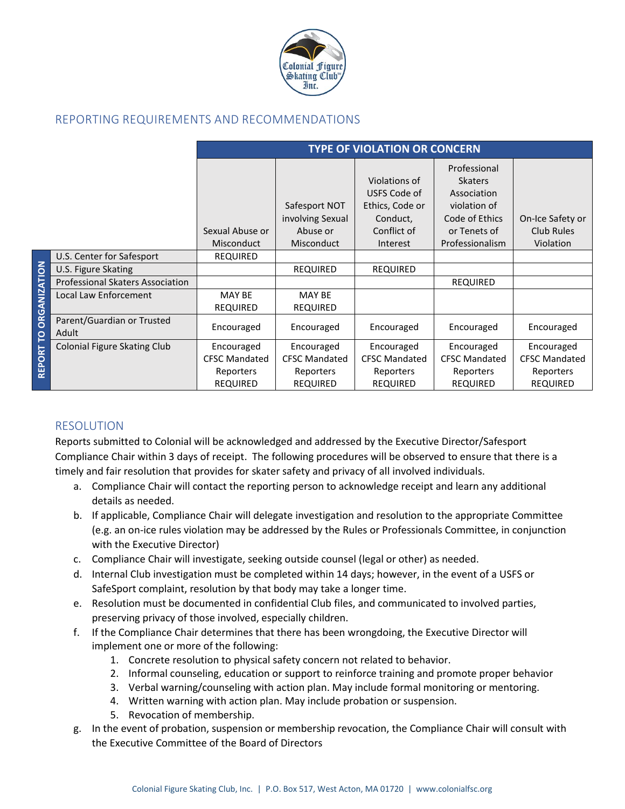

## <span id="page-2-0"></span>REPORTING REQUIREMENTS AND RECOMMENDATIONS

|                          |                                         | <b>TYPE OF VIOLATION OR CONCERN</b>  |                                               |                                                                             |                                                                                                 |                                |
|--------------------------|-----------------------------------------|--------------------------------------|-----------------------------------------------|-----------------------------------------------------------------------------|-------------------------------------------------------------------------------------------------|--------------------------------|
|                          |                                         | Sexual Abuse or                      | Safesport NOT<br>involving Sexual<br>Abuse or | Violations of<br>USFS Code of<br>Ethics, Code or<br>Conduct,<br>Conflict of | Professional<br><b>Skaters</b><br>Association<br>violation of<br>Code of Ethics<br>or Tenets of | On-Ice Safety or<br>Club Rules |
|                          | U.S. Center for Safesport               | <b>Misconduct</b><br><b>REQUIRED</b> | <b>Misconduct</b>                             | Interest                                                                    | Professionalism                                                                                 | Violation                      |
|                          | U.S. Figure Skating                     |                                      | <b>REQUIRED</b>                               | <b>REQUIRED</b>                                                             |                                                                                                 |                                |
| <b>ORGANIZATION</b><br>p | <b>Professional Skaters Association</b> |                                      |                                               |                                                                             | <b>REQUIRED</b>                                                                                 |                                |
|                          | Local Law Enforcement                   | <b>MAY BE</b><br><b>REQUIRED</b>     | <b>MAY BE</b><br><b>REQUIRED</b>              |                                                                             |                                                                                                 |                                |
|                          | Parent/Guardian or Trusted<br>Adult     | Encouraged                           | Encouraged                                    | Encouraged                                                                  | Encouraged                                                                                      | Encouraged                     |
|                          | <b>Colonial Figure Skating Club</b>     | Encouraged                           | Encouraged                                    | Encouraged                                                                  | Encouraged                                                                                      | Encouraged                     |
|                          |                                         | <b>CFSC Mandated</b>                 | <b>CFSC Mandated</b>                          | <b>CFSC Mandated</b>                                                        | <b>CFSC Mandated</b>                                                                            | <b>CFSC Mandated</b>           |
| <b>REPORT</b>            |                                         | Reporters                            | Reporters                                     | Reporters                                                                   | Reporters                                                                                       | Reporters                      |
|                          |                                         | <b>REQUIRED</b>                      | <b>REQUIRED</b>                               | <b>REQUIRED</b>                                                             | <b>REQUIRED</b>                                                                                 | <b>REQUIRED</b>                |

#### RESOLUTION

Reports submitted to Colonial will be acknowledged and addressed by the Executive Director/Safesport Compliance Chair within 3 days of receipt. The following procedures will be observed to ensure that there is a timely and fair resolution that provides for skater safety and privacy of all involved individuals.

- a. Compliance Chair will contact the reporting person to acknowledge receipt and learn any additional details as needed.
- b. If applicable, Compliance Chair will delegate investigation and resolution to the appropriate Committee (e.g. an on-ice rules violation may be addressed by the Rules or Professionals Committee, in conjunction with the Executive Director)
- c. Compliance Chair will investigate, seeking outside counsel (legal or other) as needed.
- d. Internal Club investigation must be completed within 14 days; however, in the event of a USFS or SafeSport complaint, resolution by that body may take a longer time.
- e. Resolution must be documented in confidential Club files, and communicated to involved parties, preserving privacy of those involved, especially children.
- f. If the Compliance Chair determines that there has been wrongdoing, the Executive Director will implement one or more of the following:
	- 1. Concrete resolution to physical safety concern not related to behavior.
	- 2. Informal counseling, education or support to reinforce training and promote proper behavior
	- 3. Verbal warning/counseling with action plan. May include formal monitoring or mentoring.
	- 4. Written warning with action plan. May include probation or suspension.
	- 5. Revocation of membership.
- g. In the event of probation, suspension or membership revocation, the Compliance Chair will consult with the Executive Committee of the Board of Directors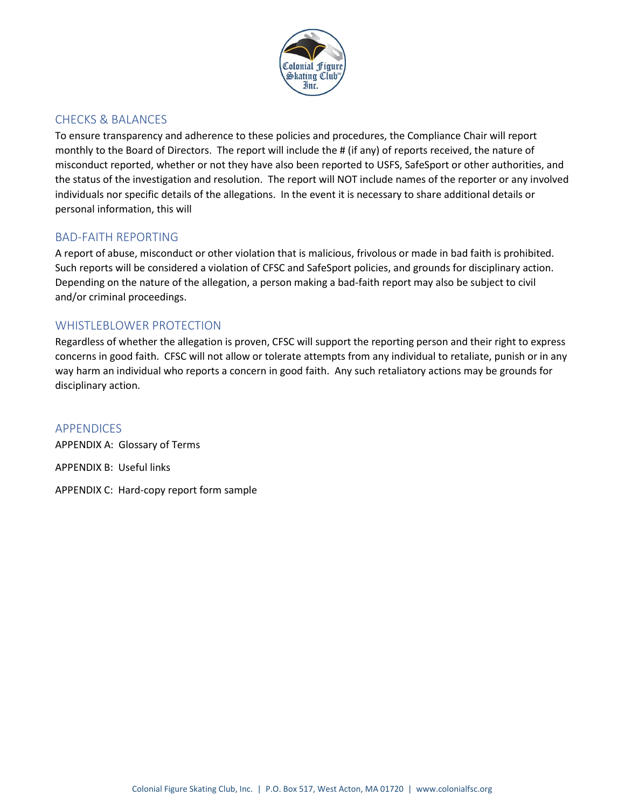

### CHECKS & BALANCES

To ensure transparency and adherence to these policies and procedures, the Compliance Chair will report monthly to the Board of Directors. The report will include the # (if any) of reports received, the nature of misconduct reported, whether or not they have also been reported to USFS, SafeSport or other authorities, and the status of the investigation and resolution. The report will NOT include names of the reporter or any involved individuals nor specific details of the allegations. In the event it is necessary to share additional details or personal information, this will

### BAD-FAITH REPORTING

A report of abuse, misconduct or other violation that is malicious, frivolous or made in bad faith is prohibited. Such reports will be considered a violation of CFSC and SafeSport policies, and grounds for disciplinary action. Depending on the nature of the allegation, a person making a bad-faith report may also be subject to civil and/or criminal proceedings.

### WHISTLEBLOWER PROTECTION

Regardless of whether the allegation is proven, CFSC will support the reporting person and their right to express concerns in good faith. CFSC will not allow or tolerate attempts from any individual to retaliate, punish or in any way harm an individual who reports a concern in good faith. Any such retaliatory actions may be grounds for disciplinary action.

APPENDICES APPENDIX A: Glossary of Terms APPENDIX B: Useful links APPENDIX C: Hard-copy report form sample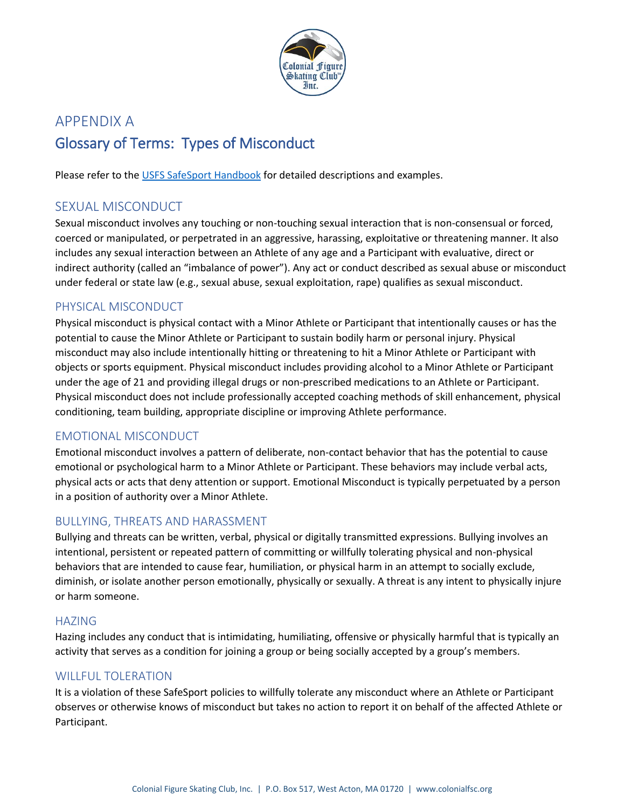

# APPENDIX A Glossary of Terms: Types of Misconduct

Please refer to the [USFS SafeSport Handbook](https://www.usfigureskating.org/sites/default/files/media-files/U.S.%20Figure%20Skating%20SafeSport%20Handbook_2.pdf) for detailed descriptions and examples.

## SEXUAL MISCONDUCT

Sexual misconduct involves any touching or non-touching sexual interaction that is non-consensual or forced, coerced or manipulated, or perpetrated in an aggressive, harassing, exploitative or threatening manner. It also includes any sexual interaction between an Athlete of any age and a Participant with evaluative, direct or indirect authority (called an "imbalance of power"). Any act or conduct described as sexual abuse or misconduct under federal or state law (e.g., sexual abuse, sexual exploitation, rape) qualifies as sexual misconduct.

## PHYSICAL MISCONDUCT

Physical misconduct is physical contact with a Minor Athlete or Participant that intentionally causes or has the potential to cause the Minor Athlete or Participant to sustain bodily harm or personal injury. Physical misconduct may also include intentionally hitting or threatening to hit a Minor Athlete or Participant with objects or sports equipment. Physical misconduct includes providing alcohol to a Minor Athlete or Participant under the age of 21 and providing illegal drugs or non-prescribed medications to an Athlete or Participant. Physical misconduct does not include professionally accepted coaching methods of skill enhancement, physical conditioning, team building, appropriate discipline or improving Athlete performance.

## EMOTIONAL MISCONDUCT

Emotional misconduct involves a pattern of deliberate, non-contact behavior that has the potential to cause emotional or psychological harm to a Minor Athlete or Participant. These behaviors may include verbal acts, physical acts or acts that deny attention or support. Emotional Misconduct is typically perpetuated by a person in a position of authority over a Minor Athlete.

## BULLYING, THREATS AND HARASSMENT

Bullying and threats can be written, verbal, physical or digitally transmitted expressions. Bullying involves an intentional, persistent or repeated pattern of committing or willfully tolerating physical and non-physical behaviors that are intended to cause fear, humiliation, or physical harm in an attempt to socially exclude, diminish, or isolate another person emotionally, physically or sexually. A threat is any intent to physically injure or harm someone.

### HAZING

Hazing includes any conduct that is intimidating, humiliating, offensive or physically harmful that is typically an activity that serves as a condition for joining a group or being socially accepted by a group's members.

## WILLFUL TOLERATION

It is a violation of these SafeSport policies to willfully tolerate any misconduct where an Athlete or Participant observes or otherwise knows of misconduct but takes no action to report it on behalf of the affected Athlete or Participant.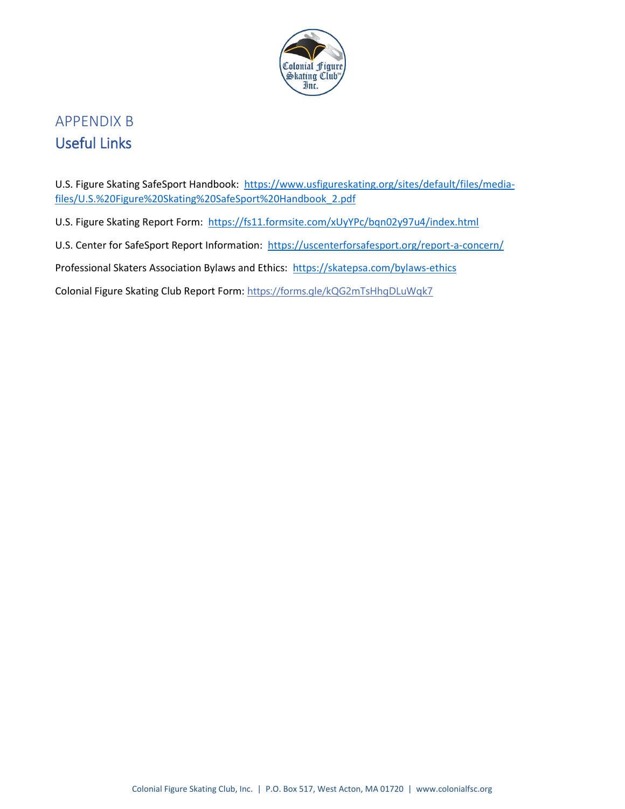

## APPENDIX B Useful Links

U.S. Figure Skating SafeSport Handbook: [https://www.usfigureskating.org/sites/default/files/media](https://www.usfigureskating.org/sites/default/files/media-files/U.S.%20Figure%20Skating%20SafeSport%20Handbook_2.pdf)[files/U.S.%20Figure%20Skating%20SafeSport%20Handbook\\_2.pdf](https://www.usfigureskating.org/sites/default/files/media-files/U.S.%20Figure%20Skating%20SafeSport%20Handbook_2.pdf)

U.S. Figure Skating Report Form: <https://fs11.formsite.com/xUyYPc/bqn02y97u4/index.html>

U.S. Center for SafeSport Report Information: <https://uscenterforsafesport.org/report-a-concern/>

Professional Skaters Association Bylaws and Ethics:<https://skatepsa.com/bylaws-ethics>

Colonial Figure Skating Club Report Form: <https://forms.gle/kQG2mTsHhgDLuWqk7>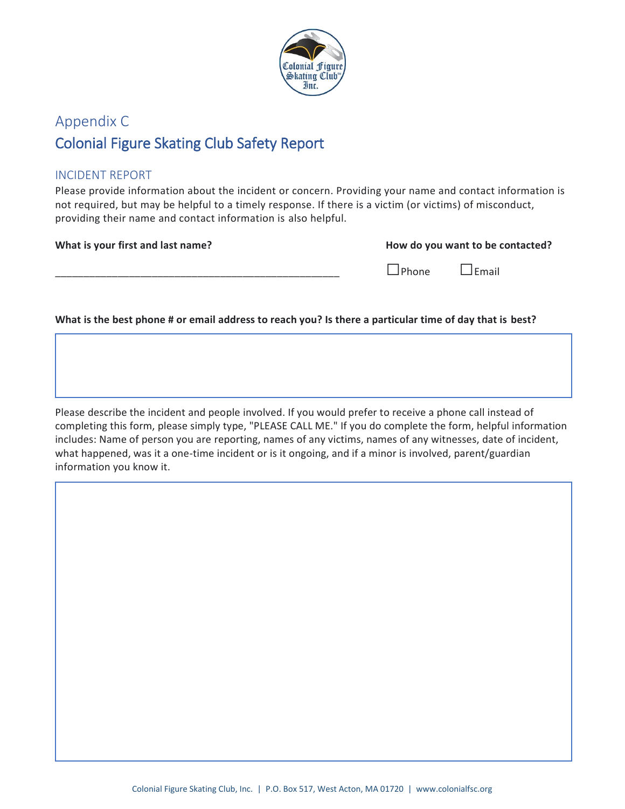

# Appendix C Colonial Figure Skating Club Safety Report

## INCIDENT REPORT

Please provide information about the incident or concern. Providing your name and contact information is not required, but may be helpful to a timely response. If there is a victim (or victims) of misconduct, providing their name and contact information is also helpful.

**What is your first and last name?** 

| How do you want to be contacted? |  |  |
|----------------------------------|--|--|
|----------------------------------|--|--|

\_\_\_\_\_\_\_\_\_\_\_\_\_\_\_\_\_\_\_\_\_\_\_\_\_\_\_\_\_\_\_\_\_\_\_\_\_\_\_\_\_\_\_\_\_\_\_\_\_\_ □Phone □Email

**What is the best phone # or email address to reach you? Is there a particular time of day that is best?**

Please describe the incident and people involved. If you would prefer to receive a phone call instead of completing this form, please simply type, "PLEASE CALL ME." If you do complete the form, helpful information includes: Name of person you are reporting, names of any victims, names of any witnesses, date of incident, what happened, was it a one-time incident or is it ongoing, and if a minor is involved, parent/guardian information you know it.